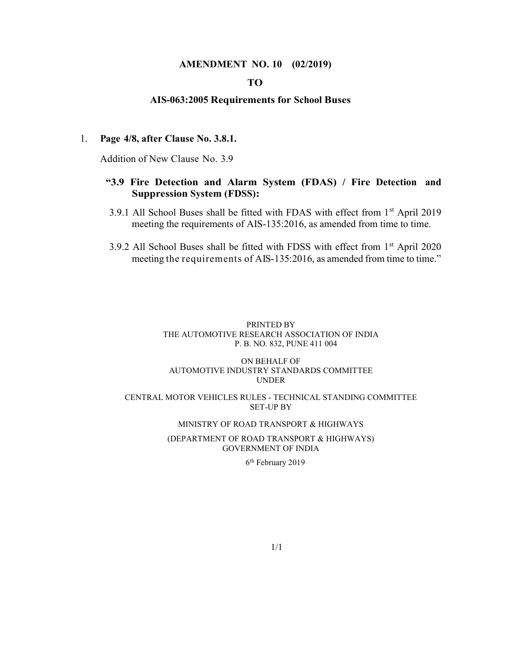#### AMENDMENT NO. 10 (02/2019)

## TO

#### AIS-063:2005 Requirements for School Buses

#### 1. Page 4/8, after Clause No. 3.8.1.

Addition of New Clause No. 3.9

### "3.9 Fire Detection and Alarm System (FDAS) / Fire Detection and Suppression System (FDSS):

- 3.9.1 All School Buses shall be fitted with FDAS with effect from 1<sup>st</sup> April 2019 meeting the requirements of AIS-135:2016, as amended from time to time.
- 3.9.2 All School Buses shall be fitted with FDSS with effect from 1st April 2020 meeting the requirements of AIS-135:2016, as amended from time to time."

#### PRINTED BY THE AUTOMOTIVE RESEARCH ASSOCIATION OF INDIA P. B. NO. 832, PUNE 411 004

#### ON BEHALF OF AUTOMOTIVE INDUSTRY STANDARDS COMMITTEE UNDER

#### CENTRAL MOTOR VEHICLES RULES - TECHNICAL STANDING COMMITTEE SET-UP BY

#### MINISTRY OF ROAD TRANSPORT & HIGHWAYS

#### (DEPARTMENT OF ROAD TRANSPORT & HIGHWAYS) GOVERNMENT OF INDIA

6th February 2019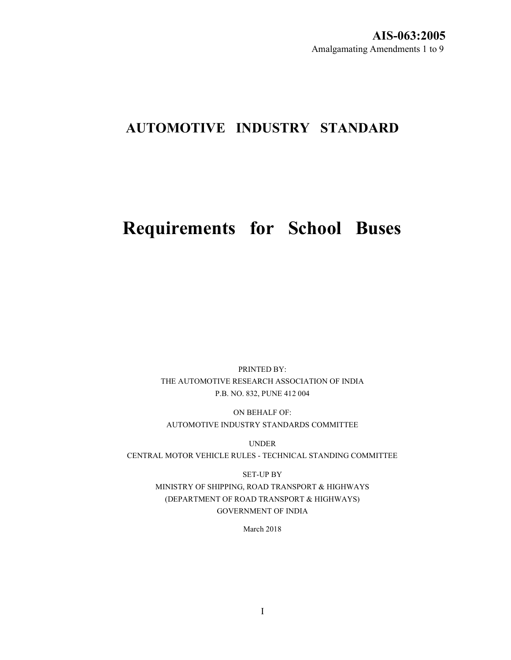# AUTOMOTIVE INDUSTRY STANDARD

# Requirements for School Buses

PRINTED BY: THE AUTOMOTIVE RESEARCH ASSOCIATION OF INDIA P.B. NO. 832, PUNE 412 004

ON BEHALF OF: AUTOMOTIVE INDUSTRY STANDARDS COMMITTEE

UNDER CENTRAL MOTOR VEHICLE RULES - TECHNICAL STANDING COMMITTEE

> SET-UP BY MINISTRY OF SHIPPING, ROAD TRANSPORT & HIGHWAYS (DEPARTMENT OF ROAD TRANSPORT & HIGHWAYS) GOVERNMENT OF INDIA

> > March 2018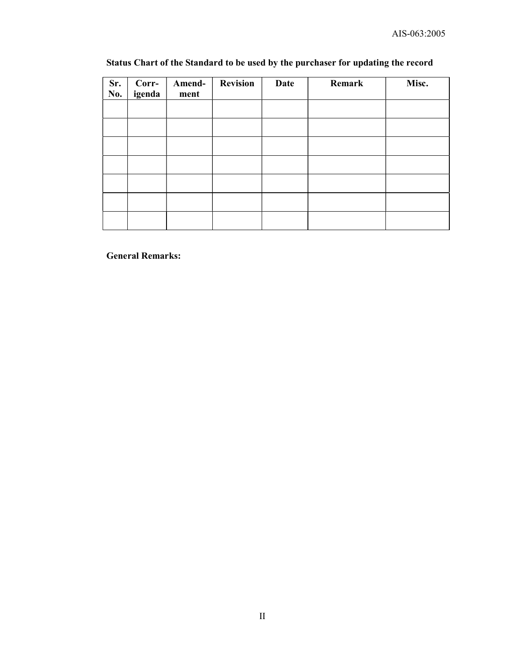# Status Chart of the Standard to be used by the purchaser for updating the record

| Sr.<br>No. | Corr-<br>igenda | Amend-<br>ment | <b>Revision</b> | Date | Remark | Misc. |
|------------|-----------------|----------------|-----------------|------|--------|-------|
|            |                 |                |                 |      |        |       |
|            |                 |                |                 |      |        |       |
|            |                 |                |                 |      |        |       |
|            |                 |                |                 |      |        |       |
|            |                 |                |                 |      |        |       |
|            |                 |                |                 |      |        |       |
|            |                 |                |                 |      |        |       |

General Remarks: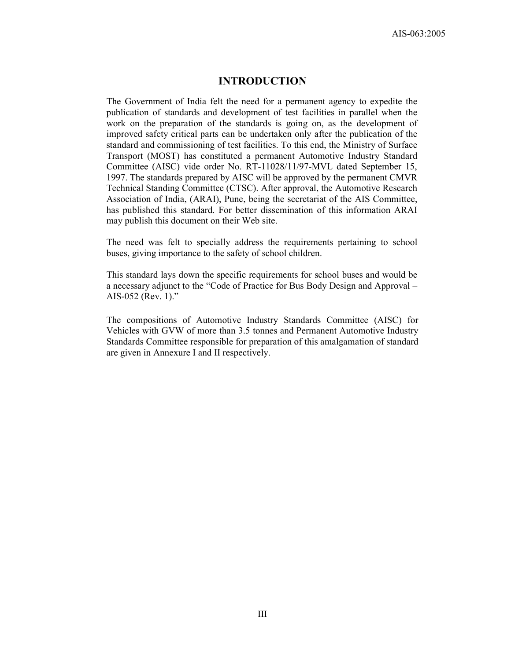# INTRODUCTION

The Government of India felt the need for a permanent agency to expedite the publication of standards and development of test facilities in parallel when the work on the preparation of the standards is going on, as the development of improved safety critical parts can be undertaken only after the publication of the standard and commissioning of test facilities. To this end, the Ministry of Surface Transport (MOST) has constituted a permanent Automotive Industry Standard Committee (AISC) vide order No. RT-11028/11/97-MVL dated September 15, 1997. The standards prepared by AISC will be approved by the permanent CMVR Technical Standing Committee (CTSC). After approval, the Automotive Research Association of India, (ARAI), Pune, being the secretariat of the AIS Committee, has published this standard. For better dissemination of this information ARAI may publish this document on their Web site.

The need was felt to specially address the requirements pertaining to school buses, giving importance to the safety of school children.

This standard lays down the specific requirements for school buses and would be a necessary adjunct to the "Code of Practice for Bus Body Design and Approval – AIS-052 (Rev. 1)."

The compositions of Automotive Industry Standards Committee (AISC) for Vehicles with GVW of more than 3.5 tonnes and Permanent Automotive Industry Standards Committee responsible for preparation of this amalgamation of standard are given in Annexure I and II respectively.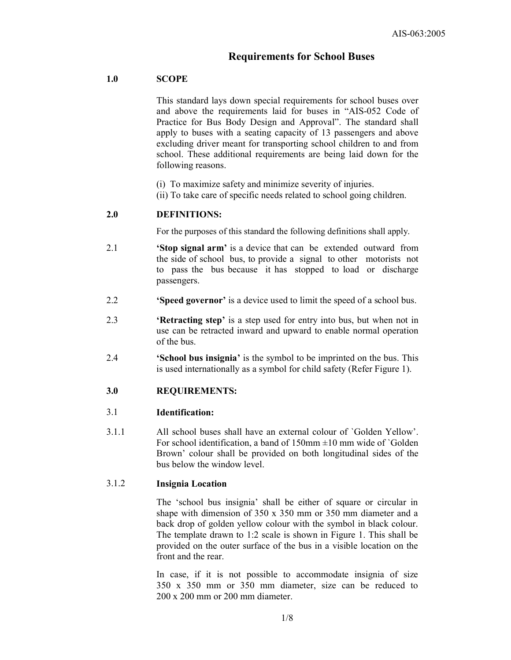# Requirements for School Buses

## 1.0 SCOPE

This standard lays down special requirements for school buses over and above the requirements laid for buses in "AIS-052 Code of Practice for Bus Body Design and Approval". The standard shall apply to buses with a seating capacity of 13 passengers and above excluding driver meant for transporting school children to and from school. These additional requirements are being laid down for the following reasons.

- (i) To maximize safety and minimize severity of injuries.
- (ii) To take care of specific needs related to school going children.

#### 2.0 DEFINITIONS:

For the purposes of this standard the following definitions shall apply.

- 2.1 **Stop signal arm'** is a device that can be extended outward from the side of school bus, to provide a signal to other motorists not to pass the bus because it has stopped to load or discharge passengers.
- 2.2 'Speed governor' is a device used to limit the speed of a school bus.
- 2.3 'Retracting step' is a step used for entry into bus, but when not in use can be retracted inward and upward to enable normal operation of the bus.
- 2.4 'School bus insignia' is the symbol to be imprinted on the bus. This is used internationally as a symbol for child safety (Refer Figure 1).

#### 3.0 REQUIREMENTS:

#### 3.1 Identification:

3.1.1 All school buses shall have an external colour of `Golden Yellow'. For school identification, a band of  $150$ mm  $\pm 10$  mm wide of `Golden Brown' colour shall be provided on both longitudinal sides of the bus below the window level.

## 3.1.2 Insignia Location

The 'school bus insignia' shall be either of square or circular in shape with dimension of 350 x 350 mm or 350 mm diameter and a back drop of golden yellow colour with the symbol in black colour. The template drawn to 1:2 scale is shown in Figure 1. This shall be provided on the outer surface of the bus in a visible location on the front and the rear.

In case, if it is not possible to accommodate insignia of size 350 x 350 mm or 350 mm diameter, size can be reduced to 200 x 200 mm or 200 mm diameter.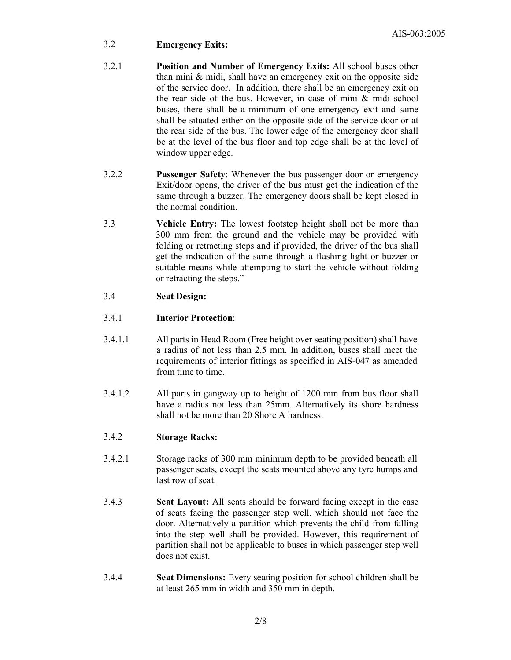# 3.2 Emergency Exits:

- 3.2.1 Position and Number of Emergency Exits: All school buses other than mini & midi, shall have an emergency exit on the opposite side of the service door. In addition, there shall be an emergency exit on the rear side of the bus. However, in case of mini & midi school buses, there shall be a minimum of one emergency exit and same shall be situated either on the opposite side of the service door or at the rear side of the bus. The lower edge of the emergency door shall be at the level of the bus floor and top edge shall be at the level of window upper edge.
- 3.2.2 Passenger Safety: Whenever the bus passenger door or emergency Exit/door opens, the driver of the bus must get the indication of the same through a buzzer. The emergency doors shall be kept closed in the normal condition.
- 3.3 Vehicle Entry: The lowest footstep height shall not be more than 300 mm from the ground and the vehicle may be provided with folding or retracting steps and if provided, the driver of the bus shall get the indication of the same through a flashing light or buzzer or suitable means while attempting to start the vehicle without folding or retracting the steps."

# 3.4 Seat Design:

# 3.4.1 Interior Protection:

- 3.4.1.1 All parts in Head Room (Free height over seating position) shall have a radius of not less than 2.5 mm. In addition, buses shall meet the requirements of interior fittings as specified in AIS-047 as amended from time to time.
- 3.4.1.2 All parts in gangway up to height of 1200 mm from bus floor shall have a radius not less than 25mm. Alternatively its shore hardness shall not be more than 20 Shore A hardness.

# 3.4.2 Storage Racks:

- 3.4.2.1 Storage racks of 300 mm minimum depth to be provided beneath all passenger seats, except the seats mounted above any tyre humps and last row of seat.
- 3.4.3 Seat Layout: All seats should be forward facing except in the case of seats facing the passenger step well, which should not face the door. Alternatively a partition which prevents the child from falling into the step well shall be provided. However, this requirement of partition shall not be applicable to buses in which passenger step well does not exist.
- 3.4.4 Seat Dimensions: Every seating position for school children shall be at least 265 mm in width and 350 mm in depth.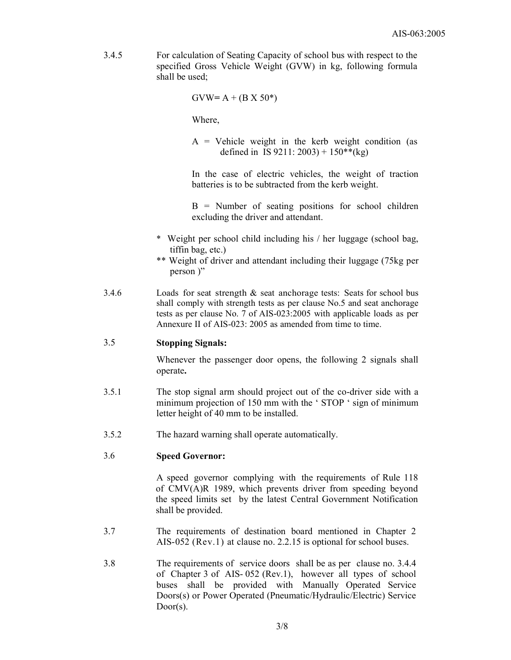3.4.5 For calculation of Seating Capacity of school bus with respect to the specified Gross Vehicle Weight (GVW) in kg, following formula shall be used;

 $GVW = A + (B X 50^*)$ 

Where,

 $A =$  Vehicle weight in the kerb weight condition (as defined in IS 9211:  $2003$ ) + 150\*\*(kg)

In the case of electric vehicles, the weight of traction batteries is to be subtracted from the kerb weight.

 $B =$  Number of seating positions for school children excluding the driver and attendant.

- \* Weight per school child including his / her luggage (school bag, tiffin bag, etc.)
- \*\* Weight of driver and attendant including their luggage (75kg per person )"
- 3.4.6 Loads for seat strength & seat anchorage tests: Seats for school bus shall comply with strength tests as per clause No.5 and seat anchorage tests as per clause No. 7 of AIS-023:2005 with applicable loads as per Annexure II of AIS-023: 2005 as amended from time to time.

# 3.5 Stopping Signals:

Whenever the passenger door opens, the following 2 signals shall operate.

- 3.5.1 The stop signal arm should project out of the co-driver side with a minimum projection of 150 mm with the 'STOP ' sign of minimum letter height of 40 mm to be installed.
- 3.5.2 The hazard warning shall operate automatically.

#### 3.6 Speed Governor:

A speed governor complying with the requirements of Rule 118 of CMV(A)R 1989, which prevents driver from speeding beyond the speed limits set by the latest Central Government Notification shall be provided.

- 3.7 The requirements of destination board mentioned in Chapter 2 AIS-052 (Rev.1) at clause no. 2.2.15 is optional for school buses.
- 3.8 The requirements of service doors shall be as per clause no. 3.4.4 of Chapter 3 of AIS- 052 (Rev.1), however all types of school buses shall be provided with Manually Operated Service Doors(s) or Power Operated (Pneumatic/Hydraulic/Electric) Service Door(s).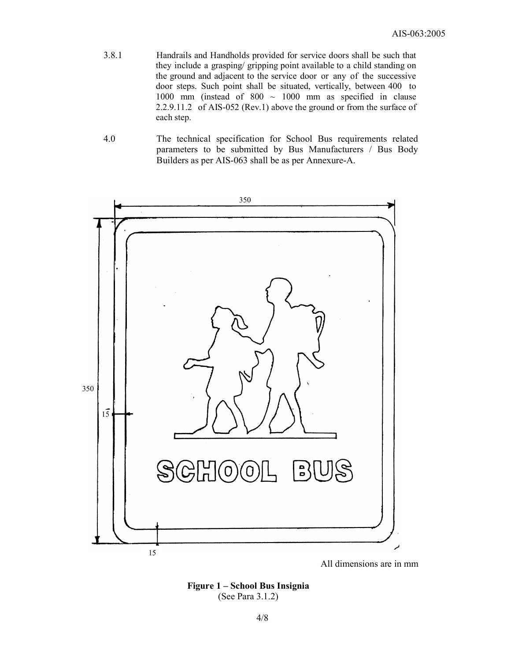- 3.8.1 Handrails and Handholds provided for service doors shall be such that they include a grasping/ gripping point available to a child standing on the ground and adjacent to the service door or any of the successive door steps. Such point shall be situated, vertically, between 400 to 1000 mm (instead of  $800 \sim 1000$  mm as specified in clause 2.2.9.11.2 of AIS-052 (Rev.1) above the ground or from the surface of each step.
- 4.0 The technical specification for School Bus requirements related parameters to be submitted by Bus Manufacturers / Bus Body Builders as per AIS-063 shall be as per Annexure-A.



All dimensions are in mm

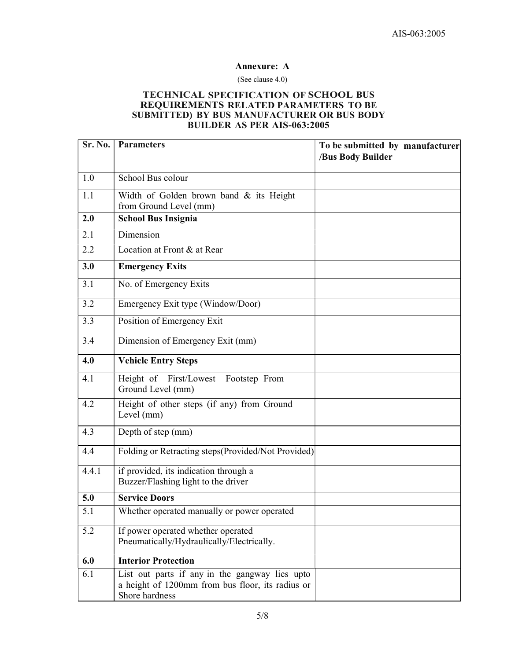#### Annexure: A

#### (See clause 4.0)

#### TECHNICAL SPECIFICATION OF SCHOOL BUS REQUIREMENTS RELATED PARAMETERS TO BE SUBMITTED) BY BUS MANUFACTURER OR BUS BODY BUILDER AS PER AIS-063:2005

| Sr. No. | <b>Parameters</b>                                                                                                    | To be submitted by manufacturer<br>/Bus Body Builder |
|---------|----------------------------------------------------------------------------------------------------------------------|------------------------------------------------------|
| 1.0     | School Bus colour                                                                                                    |                                                      |
| 1.1     | Width of Golden brown band & its Height<br>from Ground Level (mm)                                                    |                                                      |
| 2.0     | <b>School Bus Insignia</b>                                                                                           |                                                      |
| 2.1     | Dimension                                                                                                            |                                                      |
| 2.2     | Location at Front & at Rear                                                                                          |                                                      |
| 3.0     | <b>Emergency Exits</b>                                                                                               |                                                      |
| 3.1     | No. of Emergency Exits                                                                                               |                                                      |
| 3.2     | Emergency Exit type (Window/Door)                                                                                    |                                                      |
| 3.3     | Position of Emergency Exit                                                                                           |                                                      |
| 3.4     | Dimension of Emergency Exit (mm)                                                                                     |                                                      |
| 4.0     | <b>Vehicle Entry Steps</b>                                                                                           |                                                      |
| 4.1     | Height of First/Lowest Footstep From<br>Ground Level (mm)                                                            |                                                      |
| 4.2     | Height of other steps (if any) from Ground<br>Level (mm)                                                             |                                                      |
| 4.3     | Depth of step (mm)                                                                                                   |                                                      |
| 4.4     | Folding or Retracting steps(Provided/Not Provided)                                                                   |                                                      |
| 4.4.1   | if provided, its indication through a<br>Buzzer/Flashing light to the driver                                         |                                                      |
| 5.0     | <b>Service Doors</b>                                                                                                 |                                                      |
| 5.1     | Whether operated manually or power operated                                                                          |                                                      |
| 5.2     | If power operated whether operated<br>Pneumatically/Hydraulically/Electrically.                                      |                                                      |
| 6.0     | <b>Interior Protection</b>                                                                                           |                                                      |
| 6.1     | List out parts if any in the gangway lies upto<br>a height of 1200mm from bus floor, its radius or<br>Shore hardness |                                                      |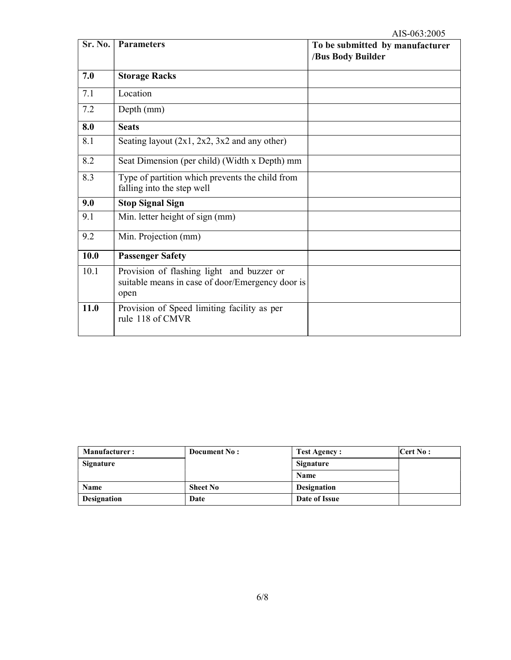| Sr. No. | <b>Parameters</b>                                                                                     | To be submitted by manufacturer<br>/Bus Body Builder |
|---------|-------------------------------------------------------------------------------------------------------|------------------------------------------------------|
|         |                                                                                                       |                                                      |
| 7.0     | <b>Storage Racks</b>                                                                                  |                                                      |
| 7.1     | Location                                                                                              |                                                      |
| 7.2     | Depth (mm)                                                                                            |                                                      |
| 8.0     | <b>Seats</b>                                                                                          |                                                      |
| 8.1     | Seating layout $(2x1, 2x2, 3x2$ and any other)                                                        |                                                      |
| 8.2     | Seat Dimension (per child) (Width x Depth) mm                                                         |                                                      |
| 8.3     | Type of partition which prevents the child from<br>falling into the step well                         |                                                      |
| 9.0     | <b>Stop Signal Sign</b>                                                                               |                                                      |
| 9.1     | Min. letter height of sign (mm)                                                                       |                                                      |
| 9.2     | Min. Projection (mm)                                                                                  |                                                      |
| 10.0    | <b>Passenger Safety</b>                                                                               |                                                      |
| 10.1    | Provision of flashing light and buzzer or<br>suitable means in case of door/Emergency door is<br>open |                                                      |
| 11.0    | Provision of Speed limiting facility as per<br>rule 118 of CMVR                                       |                                                      |

| <b>Manufacturer:</b> | Document No:    | <b>Test Agency :</b> | $\text{Cert No :}$ |
|----------------------|-----------------|----------------------|--------------------|
| Signature            |                 | <b>Signature</b>     |                    |
|                      |                 | <b>Name</b>          |                    |
| <b>Name</b>          | <b>Sheet No</b> | <b>Designation</b>   |                    |
| <b>Designation</b>   | Date            | Date of Issue        |                    |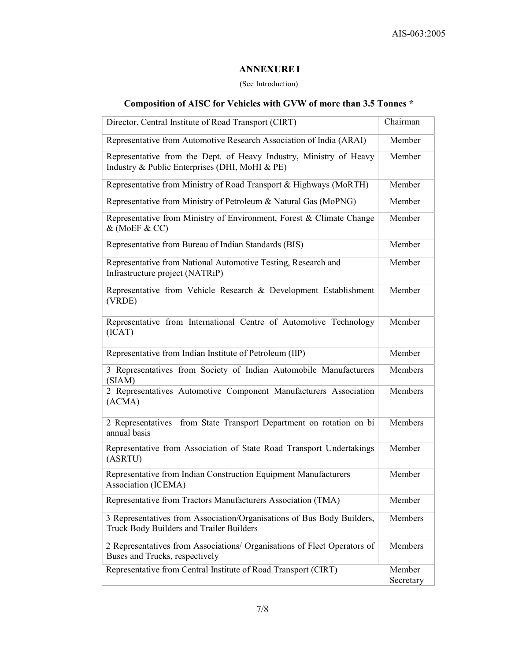# ANNEXURE I

#### (See Introduction)

# Composition of AISC for Vehicles with GVW of more than 3.5 Tonnes \*

| Director, Central Institute of Road Transport (CIRT)                                                                 | Chairman            |
|----------------------------------------------------------------------------------------------------------------------|---------------------|
| Representative from Automotive Research Association of India (ARAI)                                                  | Member              |
| Representative from the Dept. of Heavy Industry, Ministry of Heavy<br>Industry & Public Enterprises (DHI, MoHI & PE) | Member              |
| Representative from Ministry of Road Transport & Highways (MoRTH)                                                    | Member              |
| Representative from Ministry of Petroleum & Natural Gas (MoPNG)                                                      | Member              |
| Representative from Ministry of Environment, Forest & Climate Change<br>& (MoEF & CC)                                | Member              |
| Representative from Bureau of Indian Standards (BIS)                                                                 | Member              |
| Representative from National Automotive Testing, Research and<br>Infrastructure project (NATRiP)                     | Member              |
| Representative from Vehicle Research & Development Establishment<br>(VRDE)                                           | Member              |
| Representative from International Centre of Automotive Technology<br>(ICAT)                                          | Member              |
| Representative from Indian Institute of Petroleum (IIP)                                                              | Member              |
| 3 Representatives from Society of Indian Automobile Manufacturers<br>(SIAM)                                          | Members             |
| 2 Representatives Automotive Component Manufacturers Association<br>(ACMA)                                           | Members             |
| 2 Representatives from State Transport Department on rotation on bi<br>annual basis                                  | Members             |
| Representative from Association of State Road Transport Undertakings<br>(ASRTU)                                      | Member              |
| Representative from Indian Construction Equipment Manufacturers<br>Association (ICEMA)                               | Member              |
| Representative from Tractors Manufacturers Association (TMA)                                                         | Member              |
| 3 Representatives from Association/Organisations of Bus Body Builders,<br>Truck Body Builders and Trailer Builders   | Members             |
| 2 Representatives from Associations/ Organisations of Fleet Operators of<br>Buses and Trucks, respectively           | Members             |
| Representative from Central Institute of Road Transport (CIRT)                                                       | Member<br>Secretary |